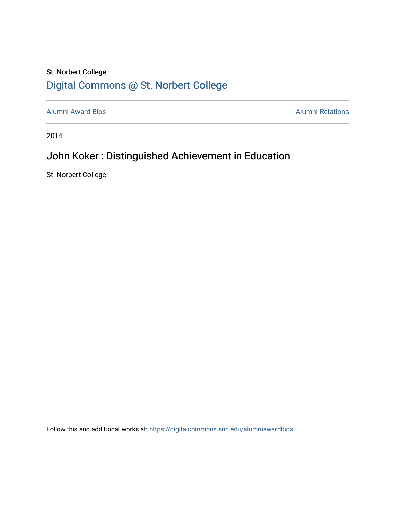## St. Norbert College [Digital Commons @ St. Norbert College](https://digitalcommons.snc.edu/)

[Alumni Award Bios](https://digitalcommons.snc.edu/alumniawardbios) **Alumni Relations** Alumni Relations

2014

# John Koker : Distinguished Achievement in Education

St. Norbert College

Follow this and additional works at: [https://digitalcommons.snc.edu/alumniawardbios](https://digitalcommons.snc.edu/alumniawardbios?utm_source=digitalcommons.snc.edu%2Falumniawardbios%2F47&utm_medium=PDF&utm_campaign=PDFCoverPages)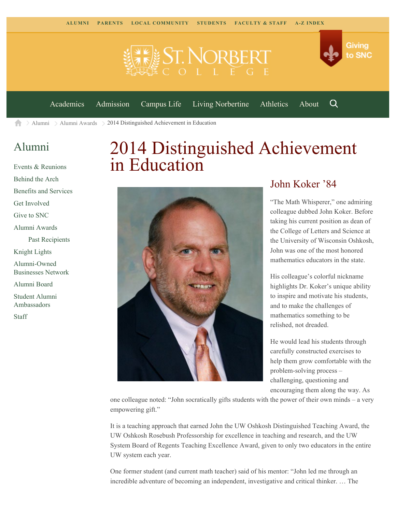

[Academics](https://www.snc.edu/academics) [Admission](https://www.snc.edu/admission) [Campus Life](https://www.snc.edu/campuslife) [Living Norbertine](https://www.snc.edu/livingnorbertine) [Athletics](https://www.snc.edu/athletics) [About](https://www.snc.edu/about)

Q

Giving

to SNC

[Alumni](https://www.snc.edu/alumni/)  $\geq$  [Alumni Awards](https://www.snc.edu/alumni/awards/)  $\geq$  2014 Distinguished Achievement in Education 合

### [Alumni](https://www.snc.edu/alumni/index.html)

[Events & Reunions](https://www.snc.edu/alumni/event/index.html) [Behind the Arch](https://www.snc.edu/alumni/event/behindthearch/) [Benefits and Services](https://www.snc.edu/alumni/benefits.html) [Get Involved](https://www.snc.edu/alumni/getinvolved.html) [Give to SNC](http://giving.snc.edu/) [Alumni Awards](https://www.snc.edu/alumni/awards/index.html) [Past Recipients](https://www.snc.edu/alumni/awards/recipients.html) [Knight Lights](https://www.snc.edu/alumni/knightlights/index.html) [Alumni-Owned](https://www.snc.edu/alumni/directory/index.html) [Businesses Network](https://www.snc.edu/alumni/directory/index.html) [Alumni Board](https://www.snc.edu/alumni/alumniboard.html) [Student Alumni](https://www.snc.edu/alumni/saa.html) [Ambassadors](https://www.snc.edu/alumni/saa.html) [Staff](https://www.snc.edu/alumni/contactus.html)

# 2014 Distinguished Achievement in Education



### John Koker '84

"The Math Whisperer," one admiring colleague dubbed John Koker. Before taking his current position as dean of the College of Letters and Science at the University of Wisconsin Oshkosh, John was one of the most honored mathematics educators in the state.

His colleague's colorful nickname highlights Dr. Koker's unique ability to inspire and motivate his students, and to make the challenges of mathematics something to be relished, not dreaded.

He would lead his students through carefully constructed exercises to help them grow comfortable with the problem-solving process – challenging, questioning and encouraging them along the way. As

one colleague noted: "John socratically gifts students with the power of their own minds – a very empowering gift."

It is a teaching approach that earned John the UW Oshkosh Distinguished Teaching Award, the UW Oshkosh Rosebush Professorship for excellence in teaching and research, and the UW System Board of Regents Teaching Excellence Award, given to only two educators in the entire UW system each year.

One former student (and current math teacher) said of his mentor: "John led me through an incredible adventure of becoming an independent, investigative and critical thinker. … The